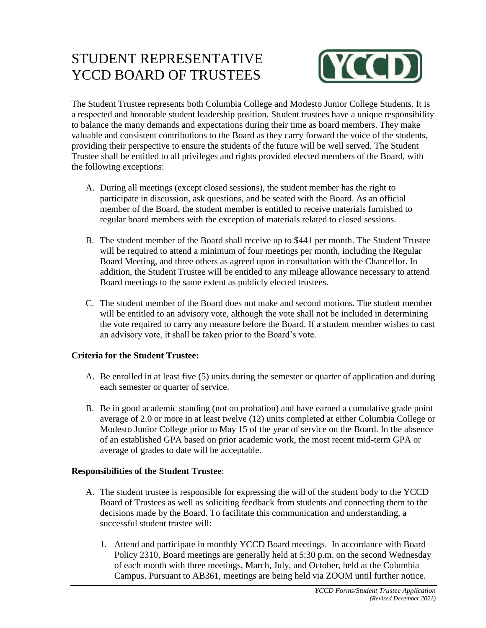# STUDENT REPRESENTATIVE YCCD BOARD OF TRUSTEES



The Student Trustee represents both Columbia College and Modesto Junior College Students. It is a respected and honorable student leadership position. Student trustees have a unique responsibility to balance the many demands and expectations during their time as board members. They make valuable and consistent contributions to the Board as they carry forward the voice of the students, providing their perspective to ensure the students of the future will be well served. The Student Trustee shall be entitled to all privileges and rights provided elected members of the Board, with the following exceptions:

- A. During all meetings (except closed sessions), the student member has the right to participate in discussion, ask questions, and be seated with the Board. As an official member of the Board, the student member is entitled to receive materials furnished to regular board members with the exception of materials related to closed sessions.
- B. The student member of the Board shall receive up to \$441 per month. The Student Trustee will be required to attend a minimum of four meetings per month, including the Regular Board Meeting, and three others as agreed upon in consultation with the Chancellor. In addition, the Student Trustee will be entitled to any mileage allowance necessary to attend Board meetings to the same extent as publicly elected trustees.
- C. The student member of the Board does not make and second motions. The student member will be entitled to an advisory vote, although the vote shall not be included in determining the vote required to carry any measure before the Board. If a student member wishes to cast an advisory vote, it shall be taken prior to the Board's vote.

### **Criteria for the Student Trustee:**

- A. Be enrolled in at least five (5) units during the semester or quarter of application and during each semester or quarter of service.
- B. Be in good academic standing (not on probation) and have earned a cumulative grade point average of 2.0 or more in at least twelve (12) units completed at either Columbia College or Modesto Junior College prior to May 15 of the year of service on the Board. In the absence of an established GPA based on prior academic work, the most recent mid-term GPA or average of grades to date will be acceptable.

### **Responsibilities of the Student Trustee**:

- A. The student trustee is responsible for expressing the will of the student body to the YCCD Board of Trustees as well as soliciting feedback from students and connecting them to the decisions made by the Board. To facilitate this communication and understanding, a successful student trustee will:
	- 1. Attend and participate in monthly YCCD Board meetings. In accordance with Board Policy 2310, Board meetings are generally held at 5:30 p.m. on the second Wednesday of each month with three meetings, March, July, and October, held at the Columbia Campus. Pursuant to AB361, meetings are being held via ZOOM until further notice.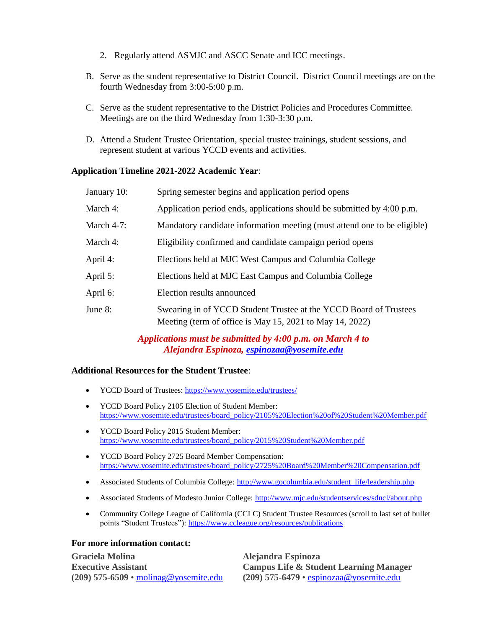- 2. Regularly attend ASMJC and ASCC Senate and ICC meetings.
- B. Serve as the student representative to District Council. District Council meetings are on the fourth Wednesday from 3:00-5:00 p.m.
- C. Serve as the student representative to the District Policies and Procedures Committee. Meetings are on the third Wednesday from 1:30-3:30 p.m.
- D. Attend a Student Trustee Orientation, special trustee trainings, student sessions, and represent student at various YCCD events and activities.

#### **Application Timeline 2021-2022 Academic Year**:

| January 10:   | Spring semester begins and application period opens                                                                           |
|---------------|-------------------------------------------------------------------------------------------------------------------------------|
| March 4:      | Application period ends, applications should be submitted by $4:00 \text{ p.m.}$                                              |
| March $4-7$ : | Mandatory candidate information meeting (must attend one to be eligible)                                                      |
| March 4:      | Eligibility confirmed and candidate campaign period opens                                                                     |
| April 4:      | Elections held at MJC West Campus and Columbia College                                                                        |
| April 5:      | Elections held at MJC East Campus and Columbia College                                                                        |
| April 6:      | Election results announced                                                                                                    |
| June 8:       | Swearing in of YCCD Student Trustee at the YCCD Board of Trustees<br>Meeting (term of office is May 15, 2021 to May 14, 2022) |

*Applications must be submitted by 4:00 p.m. on March 4 to Alejandra Espinoza, [espinozaa@yosemite.edu](mailto:espinozaa@yosemite.edu)*

#### **Additional Resources for the Student Trustee**:

- YCCD Board of Trustees:<https://www.yosemite.edu/trustees/>
- YCCD Board Policy 2105 Election of Student Member: [https://www.yosemite.edu/trustees/board\\_policy/2105%20Election%20of%20Student%20Member.pdf](https://www.yosemite.edu/trustees/board_policy/2105%20Election%20of%20Student%20Member.pdf)
- YCCD Board Policy 2015 Student Member: [https://www.yosemite.edu/trustees/board\\_policy/2015%20Student%20Member.pdf](https://www.yosemite.edu/trustees/board_policy/2015%20Student%20Member.pdf)
- YCCD Board Policy 2725 Board Member Compensation: [https://www.yosemite.edu/trustees/board\\_policy/2725%20Board%20Member%20Compensation.pdf](https://www.yosemite.edu/trustees/board_policy/2725%20Board%20Member%20Compensation.pdf)
- Associated Students of Columbia College: [http://www.gocolumbia.edu/student\\_life/leadership.php](http://www.gocolumbia.edu/student_life/leadership.php)
- Associated Students of Modesto Junior College:<http://www.mjc.edu/studentservices/sdncl/about.php>
- Community College League of California (CCLC) Student Trustee Resources (scroll to last set of bullet points "Student Trustees"):<https://www.ccleague.org/resources/publications>

#### **For more information contact:**

**Graciela Molina Alejandra Espinoza**

**Executive Assistant Campus Life & Student Learning Manager (209) 575-6509** • [molinag@yosemite.edu](mailto:molinag@yosemite.edu) **(209) 575-6479** • [espinozaa@yosemite.edu](mailto:espinozaa@yosemite.edu)